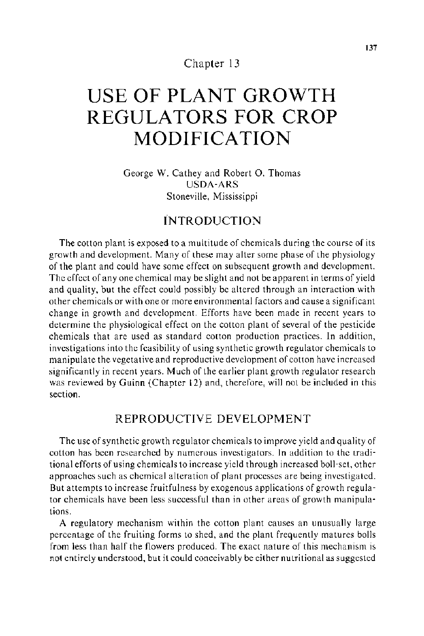## Chapter 13

# **USE OF PLANT GROWTH REGULATORS FOR CROP MODIFICATION**

George W. Cathey and Robert 0. Thomas USDA-ARS Stoneville, Mississippi

## INTRODUCTION

The cotton plant is exposed to a multitude of chemicals during the course of its growth and development. Many of these may alter some phase of the physiology of the plant and could have some effect on subsequent growth and development. The effect of any one chemical may be slight and not be apparent in terms of yield and quality, but the effect could possibly be altered through an interaction with other chemicals or with one or more environmental factors and cause a significant change in growth and development. Efforts have been made in recent years to determine the physiological effect on the cotton plant of several of the pesticide chemicals that are used as standard cotton production practices. In addition, investigations into the feasibility of using synthetic growth regulator chemicals to manipulate the vegetative and reproductive development of cotton have increased significantly in recent years. Much of the earlier plant growth regulator research was reviewed by Guinn (Chapter 12) and, therefore, will not be included in this section.

## REPRODUCTIVE DEVELOPMENT

The use of synthetic growth regulator chemicals to improve yield and quality of cotton has been researched by numerous investigators. In addition to the traditional efforts of using chemicals to increase yield through increased boll-set, other approaches such as chemical alteration of plant processes are being investigated. But attempts to increase fruitfulness by exogenous applications of growth regulator chemicals have been less successful than in other areas of growth manipulations.

A regulatory mechanism within the cotton plant causes an unusually large percentage of the fruiting forms to shed, and the plant frequently matures bolls from less than half the flowers produced. The exact nature of this mechanism is not entirely understood, but it could conceivably be either nutritional as suggested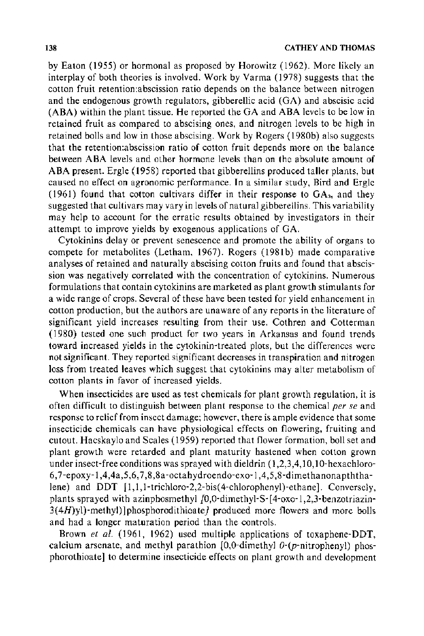by Eaton (1955) or hormonal as proposed by Horowitz (1962). More likely an interplay of both theories is involved. Work by Varma (1978) suggests that the cotton fruit retention:abscission ratio depends on the balance between nitrogen and the endogenous growth regulators, gibberellic acid (GA) and abscisic acid (ABA) within the plant tissue. He reported the GA and ABA levels to be low in retained fruit as compared to abscising ones, and nitrogen levels to be high in retained bolls and low in those abscising. Work by Rogers (1980b) also suggests that the retention:abscission ratio of cotton fruit depends more on the balance between ABA levels and other hormone levels than on the absolute amount of ABA present. Ergle (1958) reported that gibberellins produced taller plants, but caused no effect on agronomic performance. In a similar study, Bird and Ergle (1961) found that cotton cultivars differ in their response to  $GA<sub>3</sub>$ , and they suggested that cultivars may vary in levels of natural gibberellins. This variability may help to account for the erratic results obtained by investigators in their attempt to improve yields by exogenous applications of GA.

Cytokinins delay or prevent senescence and promote the ability of organs to compete for metabolites (Letham, 1967). Rogers (1981b) made comparative analyses of retained and naturally abscising cotton fruits and found that abscission was negatively correlated with the concentration of cytokinins. Numerous formulations that contain cytokinins are marketed as plant growth stimulants for a wide range of crops. Several of these have been tested for yield enhancement in cotton production, but the authors are unaware of any reports in the literature of significant yield increases resulting from their use. Cothren and Cotterman (1980) tested one such product for two years in Arkansas and found trends toward increased yields in the cytokinin-treated plots, but the differences were not significant. They reported significant decreases in transpiration and nitrogen loss from treated leaves which suggest that cytokinins may alter metabolism of cotton plants in favor of increased yields.

When insecticides are used as test chemicals for plant growth regulation, it is often difficult to distinguish between plant response to the chemical *per se* and response to relief from insect damage; however, there is ample evidence that some insecticide chemicals can have physiological effects on flowering, fruiting and cutout. Hacskaylo and Scales ( 1959) reported that flower formation, boll set and plant growth were retarded and plant maturity hastened when cotton grown under insect-free conditions was sprayed with dieldrin  $(1,2,3,4,10,10)$ -hexachloro- $6,7$ -epoxy-1,4,4a,5,6,7,8,8a-octahydroendo-exo-1,4,5,8-dimethanonapththalene) and DDT [ 1,1 ,1-trichloro-2,2-bis( 4-chlorophenyl)-ethane]. Conversely, plants sprayed with azinphosmethyl  $[0,0$ -dimethyl-S-[4-oxo-1,2,3-benzotriazin- $3(4H)y$ ]-methyl)]phosphorodithioate] produced more flowers and more bolls and had a longer maturation period than the controls.

Brown *et a/.* (1961, 1962) used multiple applications of toxaphene-DDT, calcium arsenate, and methyl parathion  $[0,0$ -dimethyl  $0$ - $(p$ -nitrophenyl) phosphorothioate] to determine insecticide effects on plant growth and development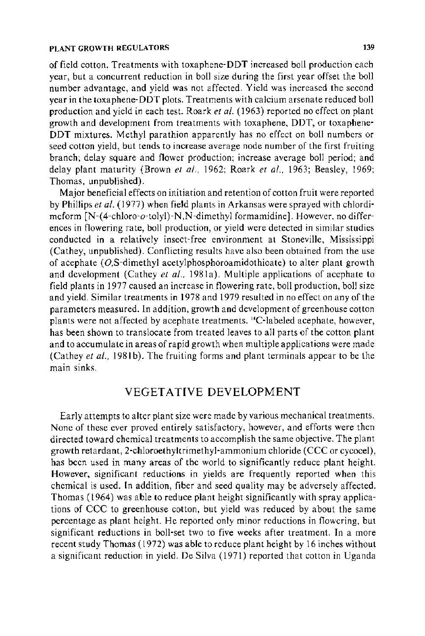#### PLANT GROWTH REGULATORS **139**

of field cotton. Treatments with toxaphene-DDT increased boll production each year, but a concurrent reduction in boll size during the first year offset the boll number advantage, and yield was not affected. Yield was increased the second year in the toxaphene-DDT plots. Treatments with calcium arsenate reduced boll production and yield in each test. Roark *et* at. ( 1963) reported no effect on plant growth and development from treatments with toxaphene, DDT, or toxaphene-DDT mixtures. Methyl parathion apparently has no effect on boll numbers or seed cotton yield, but tends to increase average node number of the first fruiting branch; delay square and flower production; increase average boll period; and delay plant maturity (Brown *et al.,* 1962; Roark *et a!.,* 1963; Beasley, 1969; Thomas, unpublished).

Major beneficial effects on initiation and retention of cotton fruit were reported by Phillips *et al.* ( 1977) when field plants in Arkansas were sprayed with chlordimeform [N-(4-chloro-o-tolyi)-N,N-dimethyl formamidine]. However, no differences in flowering rate, boll production, or yield were detected in similar studies conducted in a relatively insect-free environment at Stoneville, Mississippi (Cathey, unpublished). Conflicting results have also been obtained from the use of acephate  $(0, S$ -dimethyl acetylphosphoroamidothioate) to alter plant growth and development (Cathey *et al.*, 1981a). Multiple applications of acephate to field plants in 1977 caused an increase in flowering rate, boll production, boll size and yield. Similar treatments in 1978 and 1979 resulted in no effect on any of the parameters measured. In addition, growth and development of greenhouse cotton plants were not affected by acephate treatments. <sup>14</sup>C-labeled acephate, however, has been shown to translocate from treated leaves to all parts of the cotton plant and to accumulate in areas of rapid growth when multiple applications were made (Cathey *et al.,* 1981b). The fruiting forms and plant terminals appear to be the main sinks.

### VEGETATIVE DEVELOPMENT

Early attempts to alter plant size were made by various mechanical treatments. None of these ever proved entirely satisfactory, however, and efforts were then directed toward chemical treatments to accomplish the same objective. The plant growth retardant, 2-chloroethyltrimethyl-ammonium chloride (CCC or cycocel), has been used in many areas of the world to significantly reduce plant height. However, significant reductions in yields are frequently reported when this chemical is used. In addition, fiber and seed quality may be adversely affected. Thomas ( 1964) was able to reduce plant height significantly with spray applications of CCC to greenhouse cotton, but yield was reduced by about the same percentage as plant height. He reported only minor reductions in flowering, but significant reductions in boll-set two to five weeks after treatment. In a more recent study Thomas ( 1972) was able to reduce plant height by 16 inches without a significant reduction in yield. De Silva (1971) reported that cotton in Uganda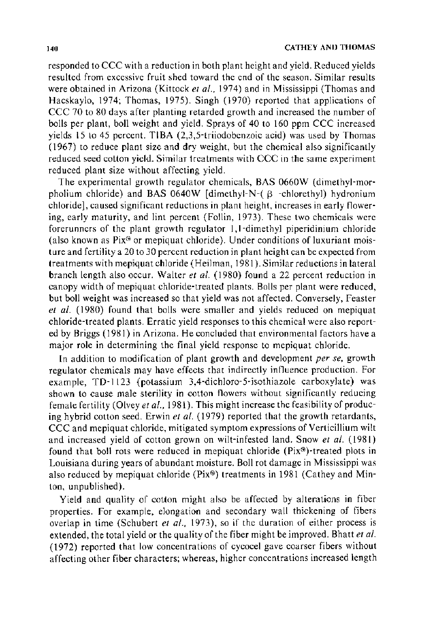responded to CCC with a reduction in both plant height and yield. Reduced yields resulted from excessive fruit shed toward the end of the season. Similar results were obtained in Arizona (Kittock *et al.,* 1974) and in Mississippi (Thomas and Hacskaylo, 1974; Thomas, 1975). Singh (1970) reported that applications of CCC 70 to 80 days after planting retarded growth and increased the number of bolls per plant, boll weight and yield. Sprays of 40 to 160 ppm CCC increased yields 15 to 45 percent. TIBA (2,3,5-triiodobenzoic acid) was used by Thomas (1967) to reduce plant size and dry weight, but the chemical also significantly reduced seed cotton yield. Similar treatments with CCC in the same experiment reduced plant size without affecting yield.

The experimental growth regulator chemicals, BAS 0660W (dimethyl-morpholium chloride) and BAS 0640W [dimethyl-N- $(\beta$  -chlorethyl) hydronium chloride], caused significant reductions in plant height, increases in early flowering, early maturity, and lint percent (Follin, 1973). These two chemicals were forerunners of the plant growth regulator I, !-dimethyl piperidinium chloride (also known as  $Pix^{\circ}$  or mepiquat chloride). Under conditions of luxuriant moisture and fertility a 20 to 30 percent reduction in plant height can be expected from treatments with mepiquat chloride (Heilman, 1981 ). Similar reductions in lateral branch length also occur. Walter *et* at. ( 1980) found a 22 percent reduction in canopy width of mepiquat chloride-treated plants. Bolls per plant were reduced, but boll weight was increased so that yield was not affected. Conversely, Feaster *et al.* (1980) found that bolls were smaller and yields reduced on mepiquat chloride-treated plants. Erratic yield responses to this chemical were also reported by Briggs ( 1981) in Arizona. He concluded that environmental factors have a major role in determining the final yield response to mepiquat chloride.

ln addition to modification of plant growth and development *per se,* growth regulator chemicals may have effects that indirectly influence production. For example, TD-1123 (potassium 3,4-dichloro-5-isothiazole carboxylate) was shown to cause male sterility in cotton flowers without significantly reducing female fertility (Olvey *et al.*, 1981). This might increase the feasibility of producing hybrid cotton seed. Erwin *et* at. (1979) reported that the growth retardants, CCC and mepiquat chloride, mitigated symptom expressions of Verticillium wilt and increased yield of cotton grown on wilt-infested land. Snow *et* at. ( 1981) found that boll rots were reduced in mepiquat chloride ( $Pix^{\circledast}$ )-treated plots in Louisiana during years of abundant moisture. Boll rot damage in Mississippi was also reduced by mepiquat chloride (Pix®) treatments in 1981 (Cathey and Minton, unpublished).

Yield and quality of cotton might also be affected by alterations in fiber properties. For example, elongation and secondary wall thickening of fibers overlap in time (Schubert *et al.,* 1973), so if the duration of either process is extended, the total yield or the quality of the fiber might be improved. Bhatt *et* at. (1972) reported that low concentrations of cycocel gave coarser fibers without affecting other fiber characters; whereas, higher concentrations increased length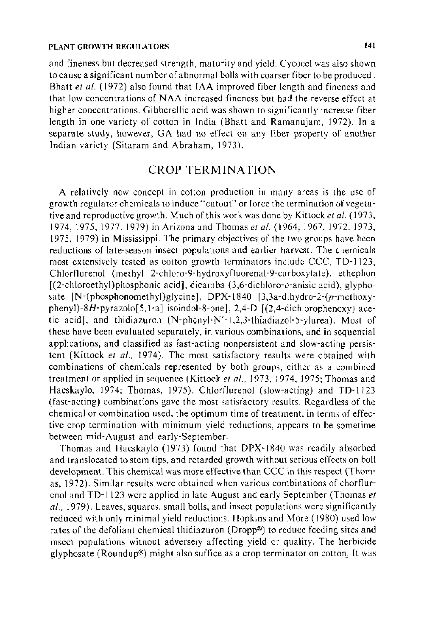and fineness but decreased strength, maturity and yield. Cycocel was also shown to cause a significant number of abnormal bolls with coarser fiber to be produced . Bhatt *et al.* (1972) also found that IAA improved fiber length and fineness and that low concentrations of NAA increased fineness but had the reverse effect at higher concentrations. Gibberellic acid was shown to significantly increase fiber length in one variety of cotton in India (Bhatt and Ramanujam, 1972). In a separate study, however, GA had no effect on any fiber property of another Indian variety (Sitaram and Abraham, 1973).

## CROP TERMINATION

A relatively new concept in cotton production in many areas is the use of growth regulator chemicals to induce "cutout" or force the termination of vegetative and reproductive growth. Much of this work was done by Kittock *eta!.* ( 1973, 1974, 1975, 1977. 1979) in Arizona and Thomas *eta!.* (1964, 1967, 1972. 1973, 1975, 1979) in Mississippi. The primary objectives of the two groups have been reductions of late-season insect populations and earlier harvest. The chemicals most extensively tested as cotton growth terminators include CCC, TD-1123, Chlorflurenol (methyl 2-chloro-9-hydroxyfluorenal-9-carboxylate). ethephon [(2-chloroethyl)phosphonic acid], dicamba (3,6-dichloro-o-anisic acid), glyphosate  $[N-(phosphonometry)]$ glycine], DPX-1840 [3,3a-dihydro-2-(p-methoxyphenyi)-8H-pyrazolo[5, 1-a] isoindol-8-one], 2,4-D [ (2,4-dichlorophenoxy) acetic acid], and thidiazuron (N-phenyl-N' -I ,2,3-thiadiazol-5-ylurea). Most of these have been evaluated separately, in various combinations, and in sequential applications, and classified as fast-acting nonpersistent and slow-acting persistent (Kittock et al., 1974). The most satisfactory results were obtained with combinations of chemicals represented by both groups, either as a combined treatment or applied in sequence (Kittock *eta/.,* 1973, 1974, 1975; Thomas and Hacskaylo, 1974; Thomas, 1975). Chlorflurenol (slow-acting) and TD-1123 (fast-acting) combinations gave the most satisfactory results. Regardless of the chemical or combination used, the optimum time of treatment, in terms of effective crop termination with minimum yield reductions, appears to be sometime between mid-August and early-September.

Thomas and Hacskaylo (1973) found that DPX-1840 was readily absorbed and translocated to stem tips, and retarded growth without serious effects on boll development. This chemical was more effective than CCC in this respect (Thomas, 1972). Similar results were obtained when various combinations of chorflurenol and TD-1123 were applied in late August and early September (Thomas *et a/.,* 1979). Leaves, squares, small bolls, and insect populations were significantly reduced with only minimal yield reductions. Hopkins and More ( 1980) used low rates of the defoliant chemical thidiazuron (Dropp®) to reduce feeding sites and insect populations without adversely affecting yield or quality. The herbicide glyphosate (Roundup®) might also suffice as a crop terminator on cotton. It was